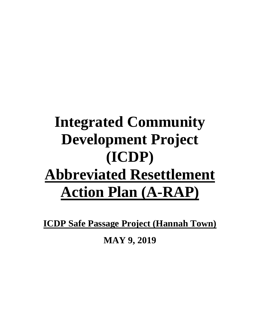# **Integrated Community Development Project (ICDP) Abbreviated Resettlement Action Plan (A-RAP)**

**ICDP Safe Passage Project (Hannah Town)**

**MAY 9, 2019**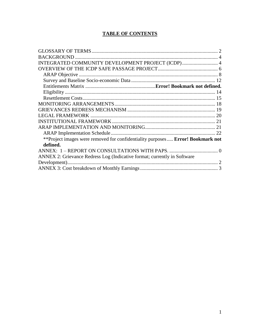# **TABLE OF CONTENTS**

| INTEGRATED COMMUNITY DEVELOPMENT PROJECT (ICDP) 4                              |  |
|--------------------------------------------------------------------------------|--|
|                                                                                |  |
|                                                                                |  |
|                                                                                |  |
|                                                                                |  |
|                                                                                |  |
|                                                                                |  |
|                                                                                |  |
|                                                                                |  |
|                                                                                |  |
|                                                                                |  |
|                                                                                |  |
|                                                                                |  |
| **Project images were removed for confidentiality purposes Error! Bookmark not |  |
| defined.                                                                       |  |
|                                                                                |  |
| ANNEX 2: Grievance Redress Log (Indicative format; currently in Software       |  |
|                                                                                |  |
|                                                                                |  |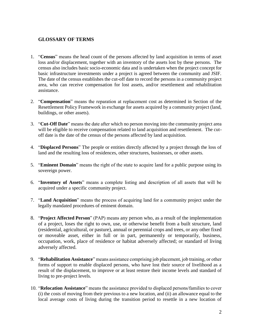#### <span id="page-2-0"></span>**GLOSSARY OF TERMS**

- 1. "**Census**" means the head count of the persons affected by land acquisition in terms of asset loss and/or displacement, together with an inventory of the assets lost by these persons. The census also includes basic socio-economic data and is undertaken when the project concept for basic infrastructure investments under a project is agreed between the community and JSIF. The date of the census establishes the cut-off date to record the persons in a community project area, who can receive compensation for lost assets, and/or resettlement and rehabilitation assistance.
- 2. "**Compensation**" means the reparation at replacement cost as determined in Section of the Resettlement Policy Framework in exchange for assets acquired by a community project (land, buildings, or other assets).
- 3. "**Cut-Off Date**" means the date after which no person moving into the community project area will be eligible to receive compensation related to land acquisition and resettlement. The cutoff date is the date of the census of the persons affected by land acquisition.
- 4. "**Displaced Persons**" The people or entities directly affected by a project through the loss of land and the resulting loss of residences, other structures, businesses, or other assets.
- 5. "**Eminent Domain**" means the right of the state to acquire land for a public purpose using its sovereign power.
- 6. "**Inventory of Assets**" means a complete listing and description of all assets that will be acquired under a specific community project.
- 7. "**Land Acquisition**" means the process of acquiring land for a community project under the legally mandated procedures of eminent domain.
- 8. "**Project Affected Person**" (PAP) means any person who, as a result of the implementation of a project, loses the right to own, use, or otherwise benefit from a built structure, land (residential, agricultural, or pasture), annual or perennial crops and trees, or any other fixed or moveable asset, either in full or in part, permanently or temporarily, business, occupation, work, place of residence or habitat adversely affected; or standard of living adversely affected.
- 9. "**Rehabilitation Assistance**" means assistance comprising job placement, job training, or other forms of support to enable displaced persons, who have lost their source of livelihood as a result of the displacement, to improve or at least restore their income levels and standard of living to pre-project levels.
- 10. "**Relocation Assistance**" means the assistance provided to displaced persons/families to cover (i) the costs of moving from their previous to a new location, and (ii) an allowance equal to the local average costs of living during the transition period to resettle in a new location of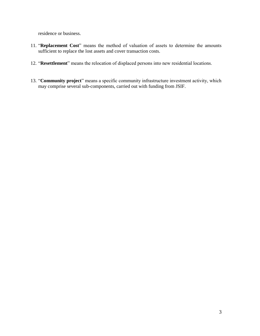residence or business.

- 11. "**Replacement Cost**" means the method of valuation of assets to determine the amounts sufficient to replace the lost assets and cover transaction costs.
- 12. "**Resettlement**" means the relocation of displaced persons into new residential locations.
- 13. "**Community project**" means a specific community infrastructure investment activity, which may comprise several sub-components, carried out with funding from JSIF.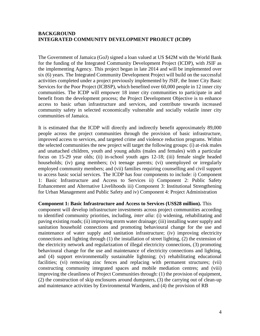#### <span id="page-4-1"></span><span id="page-4-0"></span>**BACKGROUND INTEGRATED COMMUNITY DEVELOPMENT PROJECT (ICDP)**

The Government of Jamaica (GoJ) signed a loan valued at US \$42M with the World Bank for the funding of the Integrated Community Development Project (ICDP), with JSIF as the implementing Agency*.* This project began in late 2014 and will be implemented over six (6) years. The Integrated Community Development Project will build on the successful activities completed under a project previously implemented by JSIF, the Inner City Basic Services for the Poor Project (ICBSP), which benefited over 60,000 people in 12 inner city communities. The ICDP will empower 18 inner city communities to participate in and benefit from the development process; the Project Development Objective is to enhance access to basic urban infrastructure and services, and contribute towards increased community safety in selected economically vulnerable and socially volatile inner city communities of Jamaica.

It is estimated that the ICDP will directly and indirectly benefit approximately 89,000 people across the project communities through the provision of basic infrastructure, improved access to services, and targeted crime and violence reduction programs. Within the selected communities the new project will target the following groups: (i) at-risk males and unattached children, youth and young adults (males and females) with a particular focus on 15-29 year olds; (ii) in-school youth ages 12-18; (iii) female single headed households; (iv) gang members; (v) teenage parents; (vi) unemployed or irregularly employed community members; and (vii) families requiring counselling and civil support to access basic social services. The ICDP has four components to include: i) Component 1: Basic Infrastructure and Access to Services ii) Component 2: Public Safety Enhancement and Alternative Livelihoods iii) Component 3: Institutional Strengthening for Urban Management and Public Safety and iv) Component 4: Project Administration

**Component 1: Basic Infrastructure and Access to Services (US\$28 million).** This component will develop infrastructure investments across project communities according to identified community priorities, including, *inter alia*: (i) widening, rehabilitating and paving existing roads; (ii) improving storm water drainage; (iii) installing water supply and sanitation household connections and promoting behavioural change for the use and maintenance of water supply and sanitation infrastructure; (iv) improving electricity connections and lighting through (1) the installation of street lighting, (2) the extension of the electricity network and regularization of illegal electricity connections, (3) promoting behavioural change for the use and maintenance of electricity connections and lighting, and (4) support environmentally sustainable lightning; (v) rehabilitating educational facilities; (vi) removing zinc fences and replacing with permanent structures; (vii) constructing community integrated spaces and mobile mediation centres; and (viii) improving the cleanliness of Project Communities through: (1) the provision of equipment, (2) the construction of skip enclosures around dumpsters, (3) the carrying out of clean-up and maintenance activities by Environmental Wardens, and (4) the provision of RB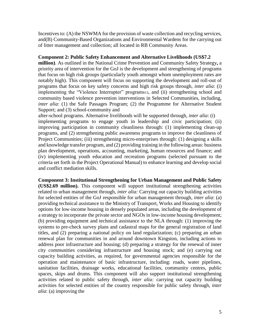Incentives to: (A) the NSWMA for the provision of waste collection and recycling services, and(B) Community-Based Organizations and Environmental Wardens for the carrying out of litter management and collection; all located in RB Community Areas.

#### **Component 2: Public Safety Enhancement and Alternative Livelihoods (US\$7.2**

**million)**. As outlined in the National Crime Prevention and Community Safety Strategy**,** a priority area of intervention for the GoJ is the development and strengthening of programs that focus on high risk groups (particularly youth amongst whom unemployment rates are notably high). This component will focus on supporting the development and roll-out of programs that focus on key safety concerns and high risk groups through, *inter alia*: (i) implementing the "Violence Interrupter" programs13, and (ii) strengthening school and community based violence prevention interventions in Selected Communities, including, *inter alia*: (1) the Safe Passages Program; (2) the Programme for Alternative Student Support; and (3) school-community and

after-school programs. Alternative livelihoods will be supported through, *inter alia*: (i) implementing programs to engage youth in leadership and civic participation; (ii) improving participation in community cleanliness through: (1) implementing clean-up programs, and (2) strengthening public awareness programs to improve the cleanliness of Project Communities; (iii) strengthening micro-enterprises through: (1) designing a skills and knowledge transfer program, and (2) providing training in the following areas: business plan development, operations, accounting, marketing, human resources and finance; and (iv) implementing youth education and recreation programs (selected pursuant to the criteria set forth in the Project Operational Manual) to enhance learning and develop social and conflict mediation skills.

**Component 3: Institutional Strengthening for Urban Management and Public Safety (US\$2.69 million).** This component will support institutional strengthening activities related to urban management through, *inter alia:* Carrying out capacity building activities for selected entities of the GoJ responsible for urban management through, *inter alia*: (a) providing technical assistance to the Ministry of Transport, Works and Housing to identify options for low-income housing in densely populated areas, including the development of a strategy to incorporate the private sector and NGOs in low-income housing development; (b) providing equipment and technical assistance to the NLA through: (1) improving the systems to pre-check survey plans and cadastral maps for the general registration of land titles, and (2) preparing a national policy on land regularization; (c) preparing an urban renewal plan for communities in and around downtown Kingston, including actions to address poor infrastructure and housing; (d) preparing a strategy for the renewal of inner city communities considering infrastructure and housing stock; and (e) carrying out capacity building activities, as required, for governmental agencies responsible for the operation and maintenance of basic infrastructure, including: roads, water pipelines, sanitation facilities, drainage works, educational facilities, community centres, public spaces, skips and drums. This component will also support institutional strengthening activities related to public safety through, *inter alia:* carrying out capacity building activities for selected entities of the country responsible for public safety through, *inter alia*: (a) improving the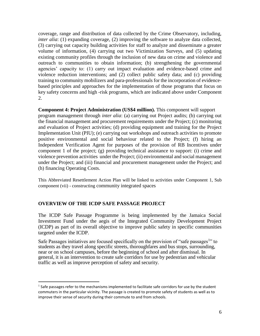coverage, range and distribution of data collected by the Crime Observatory, including, *inter alia*: (1) expanding coverage, (2) improving the software to analyze data collected, (3) carrying out capacity building activities for staff to analyze and disseminate a greater volume of information, (4) carrying out two Victimization Surveys, and (5) updating existing community profiles through the inclusion of new data on crime and violence and outreach to communities to obtain information; (b) strengthening the governmental agencies' capacity to: (1) carry out impact evaluation and evidence-based crime and violence reduction interventions; and (2) collect public safety data; and (c) providing training to community mobilizers and para-professionals for the incorporation of evidencebased principles and approaches for the implementation of those programs that focus on key safety concerns and high -risk programs, which are indicated above under Component 2.

**Component 4: Project Administration (US\$4 million).** This component will support program management through *inter alia*: (a) carrying out Project audits; (b) carrying out the financial management and procurement requirements under the Project; (c) monitoring and evaluation of Project activities; (d) providing equipment and training for the Project Implementation Unit (PIU); (e) carrying out workshops and outreach activities to promote positive environmental and social behaviour related to the Project; (f) hiring an Independent Verification Agent for purposes of the provision of RB Incentives under component 1 of the project; (g) providing technical assistance to support: (i) crime and violence prevention activities under the Project; (ii) environmental and social management under the Project; and (iii) financial and procurement management under the Project; and (h) financing Operating Costs.

This Abbreviated Resettlement Action Plan will be linked to activities under Component 1, Sub component (vii) - constructing community integrated spaces

#### <span id="page-6-0"></span>**OVERVIEW OF THE ICDP SAFE PASSAGE PROJECT**

 $\overline{a}$ 

The ICDP Safe Passage Programme is being implemented by the Jamaica Social Investment Fund under the aegis of the Integrated Community Development Project (ICDP) as part of its overall objective to improve public safety in specific communities targeted under the ICDP.

Safe Passages initiatives are focused specifically on the provision of "safe passages<sup>1</sup>" to students as they travel along specific streets, thoroughfares and bus stops, surrounding, near or on school campuses, before the beginning of school and after dismissal. In general, it is an intervention to create safe corridors for use by pedestrian and vehicular traffic as well as improve perception of safety and security.

 $<sup>1</sup>$  Safe passages refer to the mechanisms implemented to facilitate safe corridors for use by the student</sup> commuters in the particular vicinity. The passage is created to promote safety of students as well as to improve their sense of security during their commute to and from schools.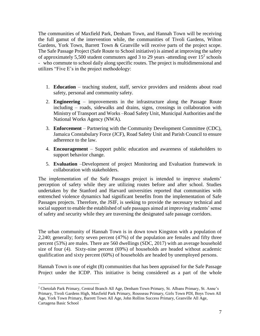The communities of Maxfield Park, Denham Town, and Hannah Town will be receiving the full gamut of the intervention while, the communities of Tivoli Gardens, Wilton Gardens, York Town, Barrett Town & Granville will receive parts of the project scope. The Safe Passage Project (Safe Route to School initiative) is aimed at improving the safety of approximately 5,500 student commuters aged 3 to 29 years -attending over  $15<sup>2</sup>$  schools - who commute to school daily along specific routes. The project is multidimensional and utilizes "Five E's in the project methodology:

- 1. **Education** teaching student, staff, service providers and residents about road safety, personal and community safety.
- 2. **Engineering** improvements in the infrastructure along the Passage Route including – roads, sidewalks and drains, signs, crossings in collaboration with Ministry of Transport and Works –Road Safety Unit, Municipal Authorities and the National Works Agency (NWA).
- 3. **Enforcement** Partnering with the Community Development Committee (CDC), Jamaica Constabulary Force (JCF), Road Safety Unit and Parish Council to ensure adherence to the law.
- 4. **Encouragement** Support public education and awareness of stakeholders to support behavior change.
- 5. **Evaluation** –Development of project Monitoring and Evaluation framework in collaboration with stakeholders.

The implementation of the Safe Passages project is intended to improve students' perception of safety while they are utilizing routes before and after school. Studies undertaken by the Stanford and Harvard universities reported that communities with entrenched violence dynamics had significant benefits from the implementation of Safe Passages projects. Therefore, the JSIF, is seeking to provide the necessary technical and social support to enable the established of safe passages aimed at improving students' sense of safety and security while they are traversing the designated safe passage corridors.

The urban community of Hannah Town is in down town Kingston with a population of 2,240; generally; forty seven percent (47%) of the population are females and fifty three percent (53%) are males. There are 560 dwellings (SDC, 2017) with an average household size of four (4). Sixty-nine percent (69%) of households are headed without academic qualification and sixty percent (60%) of households are headed by unemployed persons.

Hannah Town is one of eight (8) communities that has been appraised for the Safe Passage Project under the ICDP. This initiative is being considered as a part of the whole

<sup>2</sup> Chetolah Park Primary, Central Branch All Age, Denham Town Primary, St. Albans Primary, St. Anne's Primary, Tivoli Gardens High, Maxfield Park Primary, Rousseau Primary, Girls Town PDI, Boys Town All Age, York Town Primary, Barrett Town All Age, John Rollins Success Primary, Granville All Age, Cartagena Basic School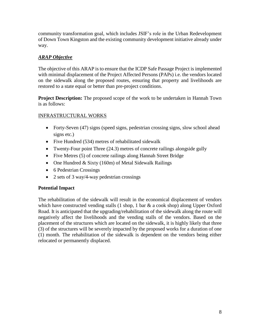community transformation goal, which includes JSIF's role in the Urban Redevelopment of Down Town Kingston and the existing community development initiative already under way.

# <span id="page-8-0"></span>*ARAP Objective*

The objective of this ARAP is to ensure that the ICDP Safe Passage Project is implemented with minimal displacement of the Project Affected Persons (PAPs) i.e. the vendors located on the sidewalk along the proposed routes, ensuring that property and livelihoods are restored to a state equal or better than pre-project conditions.

**Project Description:** The proposed scope of the work to be undertaken in Hannah Town is as follows:

# INFRASTRUCTURAL WORKS

- Forty-Seven (47) signs (speed signs, pedestrian crossing signs, slow school ahead signs etc.)
- Five Hundred (534) metres of rehabilitated sidewalk
- Twenty-Four point Three (24.3) metres of concrete railings alongside gully
- Five Metres (5) of concrete railings along Hannah Street Bridge
- One Hundred & Sixty (160m) of Metal Sidewalk Railings
- 6 Pedestrian Crossings
- 2 sets of 3 way/4-way pedestrian crossings

## **Potential Impact**

The rehabilitation of the sidewalk will result in the economical displacement of vendors which have constructed vending stalls  $(1 \text{ shop}, 1 \text{ bar } \& a \text{ cook shop})$  along Upper Oxford Road. It is anticipated that the upgrading/rehabilitation of the sidewalk along the route will negatively affect the livelihoods and the vending stalls of the vendors. Based on the placement of the structures which are located on the sidewalk, it is highly likely that three (3) of the structures will be severely impacted by the proposed works for a duration of one (1) month. The rehabilitation of the sidewalk is dependent on the vendors being either relocated or permanently displaced.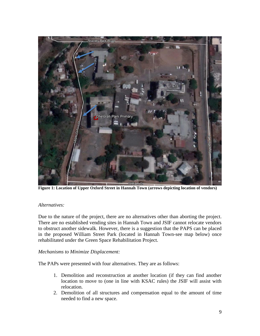

**Figure 1: Location of Upper Oxford Street in Hannah Town (arrows depicting location of vendors)**

#### *Alternatives:*

Due to the nature of the project, there are no alternatives other than aborting the project. There are no established vending sites in Hannah Town and JSIF cannot relocate vendors to obstruct another sidewalk. However, there is a suggestion that the PAPS can be placed in the proposed William Street Park (located in Hannah Town-see map below) once rehabilitated under the Green Space Rehabilitation Project.

#### *Mechanisms to Minimize Displacement:*

The PAPs were presented with four alternatives. They are as follows:

- 1. Demolition and reconstruction at another location (if they can find another location to move to (one in line with KSAC rules) the JSIF will assist with relocation.
- 2. Demolition of all structures and compensation equal to the amount of time needed to find a new space.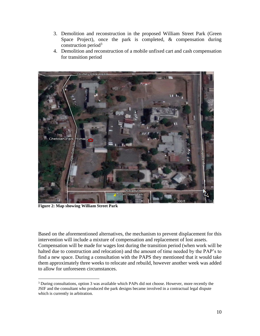- 3. Demolition and reconstruction in the proposed William Street Park (Green Space Project), once the park is completed, & compensation during construction period $3$
- 4. Demolition and reconstruction of a mobile unfixed cart and cash compensation for transition period



**Figure 2: Map showing William Street Park**

 $\overline{a}$ 

Based on the aforementioned alternatives, the mechanism to prevent displacement for this intervention will include a mixture of compensation and replacement of lost assets. Compensation will be made for wages lost during the transition period (when work will be halted due to construction and relocation) and the amount of time needed by the PAP's to find a new space. During a consultation with the PAPS they mentioned that it would take them approximately three weeks to relocate and rebuild, however another week was added to allow for unforeseen circumstances.

<sup>&</sup>lt;sup>3</sup> During consultations, option 3 was available which PAPs did not choose. However, more recently the JSIF and the consultant who produced the park designs became involved in a contractual legal dispute which is currently in arbitration.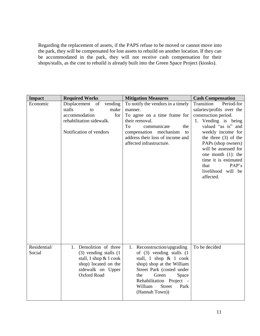Regarding the replacement of assets, if the PAPS refuse to be moved or cannot move into the park, they will be compensated for lost assets to rebuild on another location. If they can be accommodated in the park, they will not receive cash compensation for their shops/stalls, as the cost to rebuild is already built into the Green Space Project (kiosks).

| <b>Impact</b>          | <b>Required Works</b>                                                                                                                                 | <b>Mitigation Measures</b>                                                                                                                                                                                                                                  | <b>Cash Compensation</b>                                                                                                                                                                                                                    |
|------------------------|-------------------------------------------------------------------------------------------------------------------------------------------------------|-------------------------------------------------------------------------------------------------------------------------------------------------------------------------------------------------------------------------------------------------------------|---------------------------------------------------------------------------------------------------------------------------------------------------------------------------------------------------------------------------------------------|
| Economic               | Displacement of<br>vending<br>stalls<br>make<br>to<br>accommodation<br>for                                                                            | To notify the vendors in a timely<br>manner.<br>To agree on a time frame for                                                                                                                                                                                | Transition<br>Period-for<br>salaries/profits over the<br>construction period.                                                                                                                                                               |
|                        | rehabilitation sidewalk.<br>Notification of vendors                                                                                                   | their removal.<br>To<br>communicate<br>the<br>compensation mechanism<br>to<br>address their loss of income and<br>affected infrastructure.                                                                                                                  | 1. Vending is being<br>valued "as is" and<br>weekly income for<br>the three $(3)$ of the<br>PAPs (shop owners)<br>will be assessed for<br>one month $(1)$ : the<br>time it is estimated<br>PAP's<br>that<br>livelihood will be<br>affected. |
| Residential/<br>Social | 1. Demolition of three<br>$(3)$ vending stalls $(1)$<br>stall, $1$ shop $& 1$ cook<br>shop) located on the<br>sidewalk on Upper<br><b>Oxford Road</b> | 1. Reconstruction/upgrading<br>of $(3)$ vending stalls $(1)$<br>stall, 1 shop & 1 cook<br>shop) shop at the William<br>Street Park (costed under<br>the<br>Green<br>Space<br>Rehabilitation Project -<br><b>Street</b><br>William<br>Park<br>(Hannah Town)) | To be decided                                                                                                                                                                                                                               |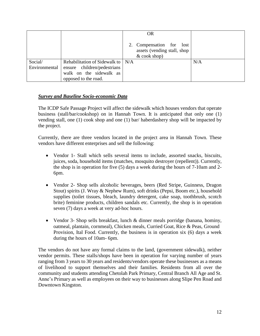|               |                                                  | <b>OR</b>                                                                 |     |
|---------------|--------------------------------------------------|---------------------------------------------------------------------------|-----|
|               |                                                  | 2. Compensation for lost<br>assets (vending stall, shop<br>$&$ cook shop) |     |
| Social/       | Rehabilitation of Sidewalk to $\mid N/A \rangle$ |                                                                           | N/A |
| Environmental | ensure children/pedestrians                      |                                                                           |     |
|               | walk on the sidewalk as                          |                                                                           |     |
|               | opposed to the road.                             |                                                                           |     |

#### <span id="page-12-0"></span>*Survey and Baseline Socio-economic Data*

The ICDP Safe Passage Project will affect the sidewalk which houses vendors that operate business (stall/bar/cookshop) on in Hannah Town. It is anticipated that only one (1) vending stall, one (1) cook shop and one (1) bar/ haberdashery shop will be impacted by the project.

Currently, there are three vendors located in the project area in Hannah Town. These vendors have different enterprises and sell the following:

- Vendor 1- Stall which sells several items to include, assorted snacks, biscuits, juices, soda, household items (matches, mosquito destroyer (repellent)). Currently, the shop is in operation for five (5) days a week during the hours of 7-10am and 2- 6pm.
- Vendor 2- Shop sells alcoholic beverages, beers (Red Stripe, Guinness, Dragon Stout) spirits (J. Wray & Nephew Rum), soft drinks (Pepsi, Boom etc.), household supplies (toilet tissues, bleach, laundry detergent, cake soap, toothbrush, scotch brite) feminine products, children sandals etc. Currently, the shop is in operation seven (7) days a week at very ad-hoc hours.
- Vendor 3- Shop sells breakfast, lunch & dinner meals porridge (banana, hominy, oatmeal, plantain, cornmeal), Chicken meals, Curried Goat, Rice & Peas, Ground Provision, Ital Food. Currently, the business is in operation six (6) days a week during the hours of 10am- 6pm.

The vendors do not have any formal claims to the land, (government sidewalk), neither vendor permits. These stalls/shops have been in operation for varying number of years ranging from 3 years to 30 years and residents/vendors operate these businesses as a means of livelihood to support themselves and their families. Residents from all over the community and students attending Chetolah Park Primary, Central Branch All Age and St. Anne's Primary as well as employees on their way to businesses along Slipe Pen Road and Downtown Kingston.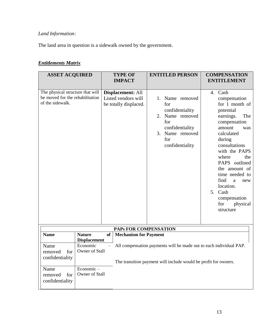# *Land Information:*

The land area in question is a sidewalk owned by the government.

# *Entitlements Matrix*

| <b>ASSET ACQUIRED</b>                                                                   |                                      |           | <b>TYPE OF</b><br><b>IMPACT</b>                                                                                                       |    |                   | <b>ENTITLED PERSON</b>                                                                                      | <b>COMPENSATION</b><br><b>ENTITLEMENT</b>                                                                                                                                                                                                                                                                                             |
|-----------------------------------------------------------------------------------------|--------------------------------------|-----------|---------------------------------------------------------------------------------------------------------------------------------------|----|-------------------|-------------------------------------------------------------------------------------------------------------|---------------------------------------------------------------------------------------------------------------------------------------------------------------------------------------------------------------------------------------------------------------------------------------------------------------------------------------|
| The physical structure that will<br>be moved for the rehabilitation<br>of the sidewalk. |                                      |           | <b>Displacement: All</b><br>Listed vendors will<br>be totally displaced.                                                              | 3. | for<br>for<br>for | 1. Name removed<br>confidentiality<br>2. Name removed<br>confidentiality<br>Name removed<br>confidentiality | 4. Cash<br>compensation<br>for 1 month of<br>potential<br>earnings.<br>The<br>compensation<br>amount<br>was<br>calculated<br>during<br>consultations<br>with the PAPS<br>where<br>the<br>PAPS outlined<br>the amount of<br>time needed to<br>find<br>a<br>new<br>location.<br>5. Cash<br>compensation<br>for<br>physical<br>structure |
|                                                                                         |                                      |           | PAPS FOR COMPENSATION                                                                                                                 |    |                   |                                                                                                             |                                                                                                                                                                                                                                                                                                                                       |
| <b>Name</b>                                                                             | <b>Nature</b><br><b>Displacement</b> | <b>of</b> | <b>Mechanism for Payment</b>                                                                                                          |    |                   |                                                                                                             |                                                                                                                                                                                                                                                                                                                                       |
| Name<br>removed<br>for<br>confidentiality                                               | Economic<br>Owner of Stall           |           | All compensation payments will be made out to each individual PAP.<br>The transition payment will include would be profit for owners. |    |                   |                                                                                                             |                                                                                                                                                                                                                                                                                                                                       |
| Name<br>for<br>removed<br>confidentiality                                               | Economic-<br>Owner of Stall          |           |                                                                                                                                       |    |                   |                                                                                                             |                                                                                                                                                                                                                                                                                                                                       |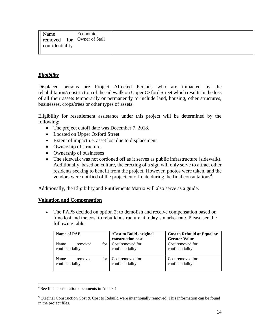| Name            | $E$ conomic $-$              |
|-----------------|------------------------------|
|                 | I removed for Owner of Stall |
| confidentiality |                              |
|                 |                              |

#### <span id="page-14-0"></span>*Eligibility*

Displaced persons are Project Affected Persons who are impacted by the rehabilitation/construction of the sidewalk on Upper Oxford Street which results in the loss of all their assets temporarily or permanently to include land, housing, other structures, businesses, crops/trees or other types of assets.

Eligibility for resettlement assistance under this project will be determined by the following:

- The project cutoff date was December 7, 2018.
- Located on Upper Oxford Street
- Extent of impact i.e. asset lost due to displacement
- Ownership of structures
- Ownership of businesses
- The sidewalk was not cordoned off as it serves as public infrastructure (sidewalk). Additionally, based on culture, the erecting of a sign will only serve to attract other residents seeking to benefit from the project. However, photos were taken, and the vendors were notified of the project cutoff date during the final consultations<sup>4</sup>.

Additionally, the Eligibility and Entitlements Matrix will also serve as a guide.

#### **Valuation and Compensation**

• The PAPS decided on option 2; to demolish and receive compensation based on time lost and the cost to rebuild a structure at today's market rate. Please see the following table:

| Name of PAP                               | <sup>5</sup> Cost to Build -original<br>construction cost | Cost to Rebuild at Equal or<br><b>Greater Value</b> |
|-------------------------------------------|-----------------------------------------------------------|-----------------------------------------------------|
| Name<br>removed<br>for<br>confidentiality | Cost removed for<br>confidentiality                       | Cost removed for<br>confidentiality                 |
| Name<br>for<br>removed<br>confidentiality | Cost removed for<br>confidentiality                       | Cost removed for<br>confidentiality                 |

<sup>4</sup> See final consultation documents in Annex 1

<sup>&</sup>lt;sup>5</sup> Original Construction Cost & Cost to Rebuild were intentionally removed. This information can be found in the project files.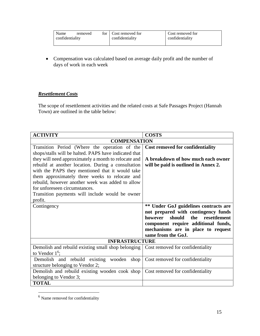| Name            | removed | for Cost removed for | Cost removed for |
|-----------------|---------|----------------------|------------------|
| confidentiality |         | confidentiality      | confidentiality  |
|                 |         |                      |                  |

• Compensation was calculated based on average daily profit and the number of days of work in each week

## <span id="page-15-0"></span>*Resettlement Costs*

The scope of resettlement activities and the related costs at Safe Passages Project (Hannah Town) are outlined in the table below:

| <b>ACTIVITY</b>                                       | <b>COSTS</b>                             |
|-------------------------------------------------------|------------------------------------------|
| <b>COMPENSATION</b>                                   |                                          |
| Transition Period (Where the operation of the         | <b>Cost removed for confidentiality</b>  |
| shops/stalls will be halted. PAPS have indicated that |                                          |
| they will need approximately a month to relocate and  | A breakdown of how much each owner       |
| rebuild at another location. During a consultation    | will be paid is outlined in Annex 2.     |
| with the PAPS they mentioned that it would take       |                                          |
| them approximately three weeks to relocate and        |                                          |
| rebuild, however another week was added to allow      |                                          |
| for unforeseen circumstances.                         |                                          |
| Transition payments will include would be owner       |                                          |
| profit.                                               |                                          |
| Contingency                                           | ** Under GoJ guidelines contracts are    |
|                                                       | not prepared with contingency funds      |
|                                                       | however<br>should<br>the<br>resettlement |
|                                                       | component require additional funds,      |
|                                                       | mechanisms are in place to request       |
|                                                       | same from the GoJ.                       |
| <b>INFRASTRUCTURE</b>                                 |                                          |
| Demolish and rebuild existing small shop belonging    | Cost removed for confidentiality         |
| to Vendor $16$ ;                                      |                                          |
| Demolish and rebuild existing wooden<br>shop          | Cost removed for confidentiality         |
| structure belonging to Vendor 2;                      |                                          |
| Demolish and rebuild existing wooden cook shop        | Cost removed for confidentiality         |
| belonging to Vendor 3;                                |                                          |
| <b>TOTAL</b>                                          |                                          |

 $<sup>6</sup>$  Name removed for confidentiality</sup>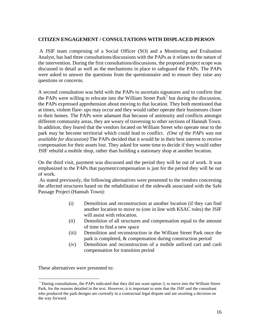#### **CITIZEN ENGAGEMENT / CONSULTATIONS WITH DISPLACED PERSON**

A JSIF team comprising of a Social Officer (SO) and a Monitoring and Evaluation Analyst, has had three consultations/discussions with the PAPs as it relates to the nature of the intervention. During the first consultations/discussions, the proposed project scope was discussed in detail as well as the mechanisms in place to safeguard the PAPs. The PAPs were asked to answer the questions from the questionnaire and to ensure they raise any questions or concerns.

A second consultation was held with the PAPs to ascertain signatures and to confirm that the PAPs were willing to relocate into the William Street Park<sup>7</sup> but during the discussion, the PAPs expressed apprehension about moving to that location. They both mentioned that at times, violent flare- ups may occur and they would rather operate their businesses closer to their homes. The PAPs were adamant that because of animosity and conflicts amongst different community areas, they are weary of traversing to other sections of Hannah Town. In addition, they feared that the vendors located on William Street who operate near to the park may be become territorial which could lead to conflict. *(One of the PAPs was not available for discussion)* The PAPs decided that it would be in their best interest to receive compensation for their assets lost. They asked for some time to decide if they would rather JSIF rebuild a mobile shop, rather than building a stationary shop at another location.

On the third visit, payment was discussed and the period they will be out of work. It was emphasized to the PAPs that payment/compensation is just for the period they will be out of work.

As stated previously, the following alternatives were presented to the vendors concerning the affected structures based on the rehabilitation of the sidewalk associated with the Safe Passage Project (Hannah Town):

- (i) Demolition and reconstruction at another location (if they can find another location to move to (one in line with KSAC rules) the JSIF will assist with relocation.
- (ii) Demolition of all structures and compensation equal to the amount of time to find a new space
- (iii) Demolition and reconstruction in the William Street Park once the park is completed, & compensation during construction period
- (iv) Demolition and reconstruction of a mobile unfixed cart and cash compensation for transition period

These alternatives were presented to:

<sup>7</sup> During consultations, the PAPs indicated that they did not want option 3, to move into the William Street Park, for the reasons detailed in the text. However, it is important to note that the JSIF and the consultant who produced the park designs are currently in a contractual legal dispute and are awaiting a decision on the way forward.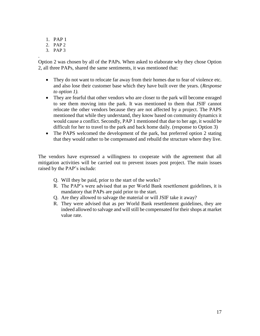- 1. PAP 1
- 2. PAP 2
- 3. PAP 3

.

Option 2 was chosen by all of the PAPs. When asked to elaborate why they chose Option 2, all three PAPs, shared the same sentiments, it was mentioned that:

- They do not want to relocate far away from their homes due to fear of violence etc. and also lose their customer base which they have built over the years. (*Response to option 1).*
- They are fearful that other vendors who are closer to the park will become enraged to see them moving into the park. It was mentioned to them that JSIF cannot relocate the other vendors because they are not affected by a project. The PAPS mentioned that while they understand, they know based on community dynamics it would cause a conflict. Secondly, PAP 1 mentioned that due to her age, it would be difficult for her to travel to the park and back home daily. (response to Option 3)
- The PAPS welcomed the development of the park, but preferred option 2 stating that they would rather to be compensated and rebuild the structure where they live.

The vendors have expressed a willingness to cooperate with the agreement that all mitigation activities will be carried out to prevent issues post project. The main issues raised by the PAP's include:

- Q. Will they be paid, prior to the start of the works?
- R. The PAP's were advised that as per World Bank resettlement guidelines, it is mandatory that PAPs are paid prior to the start.
- Q. Are they allowed to salvage the material or will JSIF take it away?
- R. They were advised that as per World Bank resettlement guidelines, they are indeed allowed to salvage and will still be compensated for their shops at market value rate.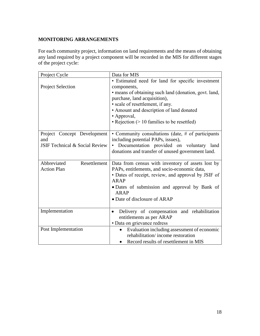## <span id="page-18-0"></span>**MONITORING ARRANGEMENTS**

For each community project, information on land requirements and the means of obtaining any land required by a project component will be recorded in the MIS for different stages of the project cycle:

| Project Cycle                                                                   | Data for MIS                                                                                                                                                                                                                                                                                             |
|---------------------------------------------------------------------------------|----------------------------------------------------------------------------------------------------------------------------------------------------------------------------------------------------------------------------------------------------------------------------------------------------------|
| <b>Project Selection</b>                                                        | · Estimated need for land for specific investment<br>components,<br>• means of obtaining such land (donation, govt. land,<br>purchase, land acquisition),<br>· scale of resettlement, if any.<br>• Amount and description of land donated<br>• Approval,<br>• Rejection $(>10$ families to be resettled) |
| Project Concept Development<br>and<br><b>JSIF Technical &amp; Social Review</b> | • Community consultations (date, # of participants<br>including potential PAPs, issues),<br>Documentation provided on voluntary land<br>donations and transfer of unused government land.                                                                                                                |
| Abbreviated<br>Resettlement<br><b>Action Plan</b>                               | Data from census with inventory of assets lost by<br>PAPs, entitlements, and socio-economic data,<br>• Dates of receipt, review, and approval by JSIF of<br><b>ARAP</b><br>• Dates of submission and approval by Bank of<br><b>ARAP</b><br>• Date of disclosure of ARAP                                  |
| Implementation                                                                  | Delivery of compensation and rehabilitation<br>$\bullet$<br>entitlements as per ARAP<br>· Data on grievance redress                                                                                                                                                                                      |
| Post Implementation                                                             | Evaluation including assessment of economic<br>$\bullet$<br>rehabilitation/income restoration<br>Record results of resettlement in MIS                                                                                                                                                                   |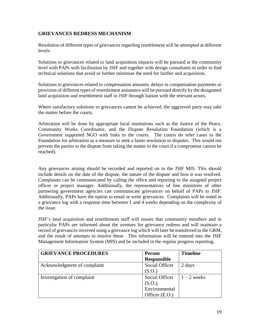#### <span id="page-19-0"></span>**GRIEVANCES REDRESS MECHANISM**

Resolution of different types of grievances regarding resettlement will be attempted at different levels:

Solutions to grievances related to land acquisition impacts will be pursued at the community level with PAPs with facilitation by JSIF and together with design consultants in order to find technical solutions that avoid or further minimize the need for further and acquisition.

Solutions to grievances related to compensation amounts, delays in compensation payments or provision of different types of resettlement assistance will be pursued directly by the designated land acquisition and resettlement staff in JSIF through liaison with the relevant actors.

Where satisfactory solutions to grievances cannot be achieved, the aggrieved party may take the matter before the courts.

Arbitration will be done by appropriate local institutions such as the Justice of the Peace, Community Works Coordinator, and the Dispute Resolution Foundation (which is a Government supported NGO with links to the courts. The courts do refer cases to the Foundation for arbitration as a measure to seek a faster resolution to disputes. This would not prevent the parties to the dispute from taking the matter to the court if a compromise cannot be reached).

Any grievances arising should be recorded and reported on in the JSIF MIS. This should include details on the date of the dispute, the nature of the dispute and how it was resolved. Complaints can be communicated by calling the office and reporting to the assigned project officer or project manager. Additionally, the representatives of line ministries of other partnering government agencies can communicate grievances on behalf of PAPs to JSIF. Additionally, PAPs have the option to email or write grievances. Complaints will be noted in a grievance log with a response time between 1 and 4 weeks depending on the complexity of the issue.

JSIF's land acquisition and resettlement staff will ensure that community members and in particular PAPs are informed about the avenues for grievance redress and will maintain a record of grievances received using a grievance log which will later be transferred to the GRM, and the result of attempts to resolve these. This information will be entered into the JSIF Management Information System (MIS) and be included in the regular progress reporting.

| <b>GRIEVANCE PROCEDURES</b> | <b>Person</b>      | <b>Timeline</b> |
|-----------------------------|--------------------|-----------------|
|                             | <b>Responsible</b> |                 |
| Acknowledgment of complaint | Social Officer     | 2 days          |
|                             | (S.O.)             |                 |
| Investigation of complaint  | Social Officer     | $1 - 2$ weeks   |
|                             | (S.O.),            |                 |
|                             | Environmental      |                 |
|                             | Officer (E.O.)     |                 |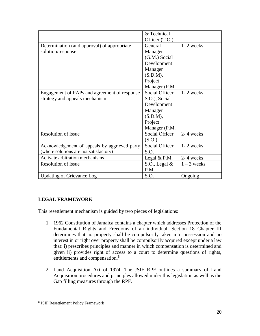|                                               | & Technical    |               |
|-----------------------------------------------|----------------|---------------|
|                                               | Officer (T.O.) |               |
| Determination (and approval) of appropriate   | General        | 1-2 weeks     |
| solution/response                             | Manager        |               |
|                                               | (G.M.) Social  |               |
|                                               | Development    |               |
|                                               | Manager        |               |
|                                               | (S.D.M),       |               |
|                                               | Project        |               |
|                                               | Manager (P.M.  |               |
| Engagement of PAPs and agreement of response  | Social Officer | 1-2 weeks     |
| strategy and appeals mechanism                | S.O.), Social  |               |
|                                               | Development    |               |
|                                               | Manager        |               |
|                                               | (S.D.M),       |               |
|                                               | Project        |               |
|                                               | Manager (P.M.  |               |
| Resolution of issue                           | Social Officer | 2-4 weeks     |
|                                               | (S.O.)         |               |
| Acknowledgement of appeals by aggrieved party | Social Officer | $1 - 2$ weeks |
| (where solutions are not satisfactory)        | S.O.           |               |
| Activate arbitration mechanisms               | Legal $& P.M.$ | 2-4 weeks     |
| Resolution of issue                           | S.O., Legal &  | $1 - 3$ weeks |
|                                               | P.M.           |               |
| <b>Updating of Grievance Log</b>              | S.O.           | Ongoing       |

# <span id="page-20-0"></span>**LEGAL FRAMEWORK**

This resettlement mechanism is guided by two pieces of legislations:

- 1. 1962 Constitution of Jamaica contains a chapter which addresses Protection of the Fundamental Rights and Freedoms of an individual. Section 18 Chapter III determines that no property shall be compulsorily taken into possession and no interest in or right over property shall be compulsorily acquired except under a law that: i) prescribes principles and manner in which compensation is determined and given ii) provides right of access to a court to determine questions of rights, entitlements and compensation.<sup>8</sup>
- 2. Land Acquisition Act of 1974. The JSIF RPF outlines a summary of Land Acquisition procedures and principles allowed under this legislation as well as the Gap filling measures through the RPF.

<sup>8</sup> JSIF Resettlement Policy Framework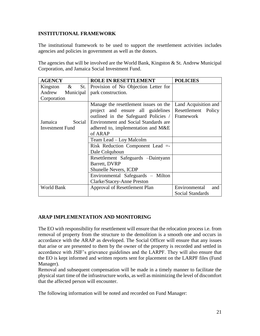#### <span id="page-21-0"></span>**INSTITUTIONAL FRAMEWORK**

The institutional framework to be used to support the resettlement activities includes agencies and policies in government as well as the donors.

The agencies that will be involved are the World Bank, Kingston & St. Andrew Municipal Corporation, and Jamaica Social Investment Fund.

| <b>AGENCY</b>               | <b>ROLE IN RESETTLEMENT</b>           | <b>POLICIES</b>      |
|-----------------------------|---------------------------------------|----------------------|
| $\alpha$<br>St.<br>Kingston | Provision of No Objection Letter for  |                      |
| Andrew<br>Municipal         | park construction.                    |                      |
| Corporation                 |                                       |                      |
|                             | Manage the resettlement issues on the | Land Acquisition and |
|                             | project and ensure all guidelines     | Resettlement Policy  |
|                             | outlined in the Safeguard Policies /  | Framework            |
| Social<br>Jamaica           | Environment and Social Standards are  |                      |
| <b>Investment Fund</b>      | adhered to, implementation and M&E    |                      |
|                             | of ARAP                               |                      |
|                             | Team Lead – Loy Malcolm               |                      |
|                             | Risk Reduction Component Lead =-      |                      |
|                             | Dale Colquhoun                        |                      |
|                             | Resettlement Safeguards -Daintyann    |                      |
|                             | Barrett, DVRP                         |                      |
|                             | <b>Shunelle Nevers, ICDP</b>          |                      |
|                             | Environmental Safeguards – Milton     |                      |
|                             | Clarke/Stacey-Anne Preston            |                      |
| World Bank                  | Approval of Resettlement Plan         | Environmental<br>and |
|                             |                                       | Social Standards     |

## <span id="page-21-1"></span>**ARAP IMPLEMENTATION AND MONITORING**

The EO with responsibility for resettlement will ensure that the relocation process i.e. from removal of property from the structure to the demolition is a smooth one and occurs in accordance with the ARAP as developed. The Social Officer will ensure that any issues that arise or are presented to them by the owner of the property is recorded and settled in accordance with JSIF's grievance guidelines and the LARPF. They will also ensure that the EO is kept informed and written reports sent for placement on the LARPF files (Fund Manager).

Removal and subsequent compensation will be made in a timely manner to facilitate the physical start time of the infrastructure works, as well as minimizing the level of discomfort that the affected person will encounter.

The following information will be noted and recorded on Fund Manager: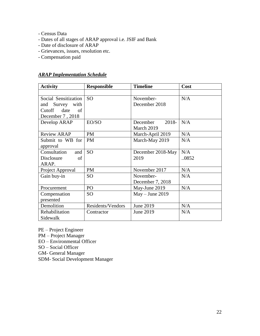- Census Data
- Dates of all stages of ARAP approval i.e. JSIF and Bank
- Date of disclosure of ARAP
- Grievances, issues, resolution etc.
- Compensation paid

#### <span id="page-22-0"></span>*ARAP Implementation Schedule*

| <b>Activity</b>                 | <b>Responsible</b> | <b>Timeline</b>     | Cost |
|---------------------------------|--------------------|---------------------|------|
|                                 |                    |                     |      |
| Social Sensitization            | <b>SO</b>          | November-           | N/A  |
| and Survey with                 |                    | December 2018       |      |
| Cutoff date<br>of               |                    |                     |      |
| December 7, 2018                |                    |                     |      |
| Develop ARAP                    | EO/SO              | December<br>$2018-$ | N/A  |
|                                 |                    | March 2019          |      |
| <b>Review ARAP</b>              | <b>PM</b>          | March-April 2019    | N/A  |
| Submit to WB for                | <b>PM</b>          | March-May 2019      | N/A  |
| approval                        |                    |                     |      |
| Consultation<br>and             | <b>SO</b>          | December 2018-May   | N/A  |
| Disclosure<br>of                |                    | 2019                | 0852 |
| ARAP.                           |                    |                     |      |
| Project Approval                | <b>PM</b>          | November 2017       | N/A  |
| Gain buy-in                     | <b>SO</b>          | November-           | N/A  |
|                                 |                    | December 7, 2018    |      |
| Procurement                     | PO                 | May-June 2019       | N/A  |
| Compensation                    | <b>SO</b>          | $May - June 2019$   |      |
| presented                       |                    |                     |      |
| Demolition<br>Residents/Vendors |                    | June 2019           | N/A  |
| Rehabilitation                  | Contractor         | June 2019           | N/A  |
| Sidewalk                        |                    |                     |      |

PE – Project Engineer PM – Project Manager EO – Environmental Officer SO – Social Officer

GM- General Manager

SDM- Social Development Manager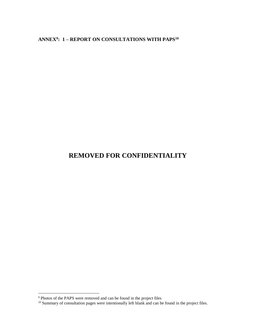<span id="page-23-0"></span>**ANNEX<sup>9</sup> : 1 – REPORT ON CONSULTATIONS WITH PAPS<sup>10</sup>**

# **REMOVED FOR CONFIDENTIALITY**

<sup>&</sup>lt;sup>9</sup> Photos of the PAPS were removed and can be found in the project files

 $10$  Summary of consultation pages were intentionally left blank and can be found in the project files.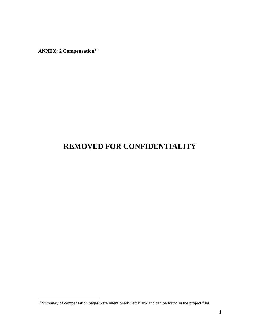**ANNEX: 2 Compensation<sup>11</sup>**

 $\overline{a}$ 

# **REMOVED FOR CONFIDENTIALITY**

 $11$  Summary of compensation pages were intentionally left blank and can be found in the project files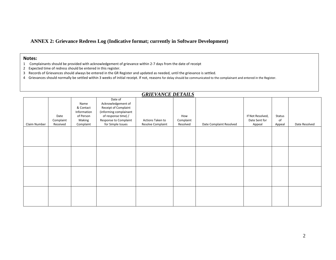#### **ANNEX 2: Grievance Redress Log (Indicative format; currently in Software Development)**

#### **Notes:**

- 1 Complainants should be provided with acknowledgement of grievance within 2-7 days from the date of receipt
- 2 Expected time of redress should be entered in this register.
- 3 Records of Grievances should always be entered in the GR Register and updated as needed, until the grievance is settled.
- 4 Grievances should normally be settled within 3 weeks of initial receipt. If not, reasons for delay should be communicated to the complainant and entered in the Register.

<span id="page-25-0"></span>

| <b>GRIEVANCE DETAILS</b> |                               |                                                                      |                                                                                                                                                      |                                       |                              |                         |                                             |                        |               |  |  |
|--------------------------|-------------------------------|----------------------------------------------------------------------|------------------------------------------------------------------------------------------------------------------------------------------------------|---------------------------------------|------------------------------|-------------------------|---------------------------------------------|------------------------|---------------|--|--|
| Claim Number             | Date<br>Complaint<br>Received | Name<br>& Contact<br>Information<br>of Person<br>Making<br>Complaint | Date of<br>Acknowledgement of<br>Receipt of Complaint<br>(informing complainant<br>of response time) /<br>Response to Complaint<br>for Simple Issues | Actions Taken to<br>Resolve Complaint | How<br>Complaint<br>Resolved | Date Complaint Resolved | If Not Resolved,<br>Date Sent for<br>Appeal | Status<br>of<br>Appeal | Date Resolved |  |  |
|                          |                               |                                                                      |                                                                                                                                                      |                                       |                              |                         |                                             |                        |               |  |  |
|                          |                               |                                                                      |                                                                                                                                                      |                                       |                              |                         |                                             |                        |               |  |  |
|                          |                               |                                                                      |                                                                                                                                                      |                                       |                              |                         |                                             |                        |               |  |  |
|                          |                               |                                                                      |                                                                                                                                                      |                                       |                              |                         |                                             |                        |               |  |  |